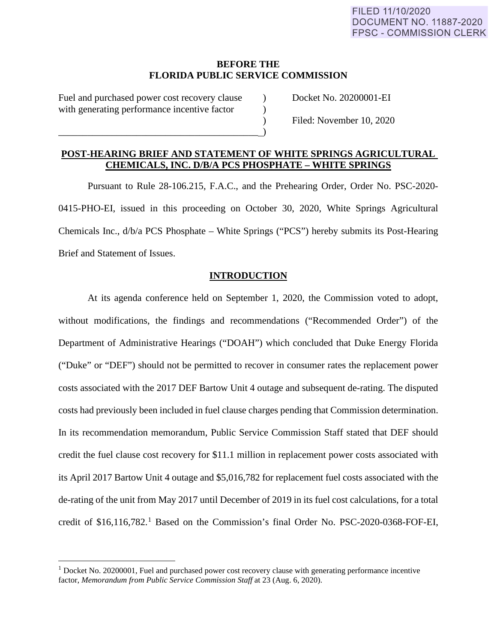#### **BEFORE THE FLORIDA PUBLIC SERVICE COMMISSION**

Fuel and purchased power cost recovery clause  $\qquad$  Docket No. 20200001-EI with generating performance incentive factor  $\qquad$ 

 $\qquad \qquad \qquad \qquad \qquad .$ 

) Filed: November 10, 2020

# **POST-HEARING BRIEF AND STATEMENT OF WHITE SPRINGS AGRICULTURAL CHEMICALS, INC. D/B/A PCS PHOSPHATE – WHITE SPRINGS**

Pursuant to Rule 28-106.215, F.A.C., and the Prehearing Order, Order No. PSC-2020- 0415-PHO-EI, issued in this proceeding on October 30, 2020, White Springs Agricultural Chemicals Inc., d/b/a PCS Phosphate – White Springs ("PCS") hereby submits its Post-Hearing Brief and Statement of Issues.

## **INTRODUCTION**

At its agenda conference held on September 1, 2020, the Commission voted to adopt, without modifications, the findings and recommendations ("Recommended Order") of the Department of Administrative Hearings ("DOAH") which concluded that Duke Energy Florida ("Duke" or "DEF") should not be permitted to recover in consumer rates the replacement power costs associated with the 2017 DEF Bartow Unit 4 outage and subsequent de-rating. The disputed costs had previously been included in fuel clause charges pending that Commission determination. In its recommendation memorandum, Public Service Commission Staff stated that DEF should credit the fuel clause cost recovery for \$11.1 million in replacement power costs associated with its April 2017 Bartow Unit 4 outage and \$5,016,782 for replacement fuel costs associated with the de-rating of the unit from May 2017 until December of 2019 in its fuel cost calculations, for a total credit of \$[1](#page-0-0)6,116,782.<sup>1</sup> Based on the Commission's final Order No. PSC-2020-0368-FOF-EI,

<span id="page-0-0"></span> $1$  Docket No. 20200001, Fuel and purchased power cost recovery clause with generating performance incentive factor, *Memorandum from Public Service Commission Staff* at 23 (Aug. 6, 2020).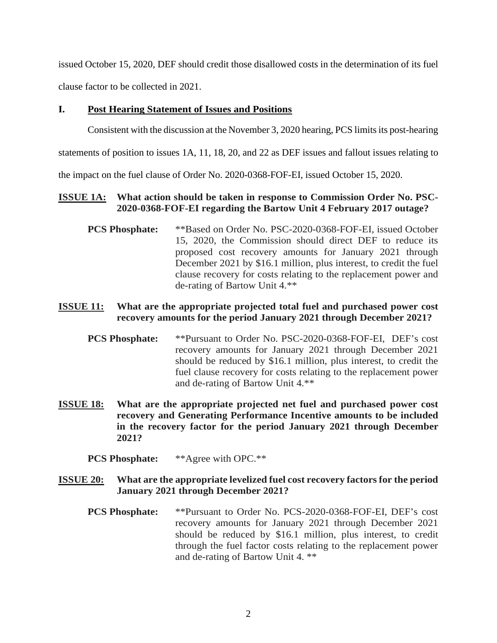issued October 15, 2020, DEF should credit those disallowed costs in the determination of its fuel clause factor to be collected in 2021.

#### **I. Post Hearing Statement of Issues and Positions**

Consistent with the discussion at the November 3, 2020 hearing, PCS limitsits post-hearing

statements of position to issues 1A, 11, 18, 20, and 22 as DEF issues and fallout issues relating to

the impact on the fuel clause of Order No. 2020-0368-FOF-EI, issued October 15, 2020.

# **ISSUE 1A: What action should be taken in response to Commission Order No. PSC-2020-0368-FOF-EI regarding the Bartow Unit 4 February 2017 outage?**

**PCS Phosphate:** \*\*Based on Order No. PSC-2020-0368-FOF-EI, issued October 15, 2020, the Commission should direct DEF to reduce its proposed cost recovery amounts for January 2021 through December 2021 by \$16.1 million, plus interest, to credit the fuel clause recovery for costs relating to the replacement power and de-rating of Bartow Unit 4.\*\*

# **ISSUE 11: What are the appropriate projected total fuel and purchased power cost recovery amounts for the period January 2021 through December 2021?**

- **PCS Phosphate:** \*\*Pursuant to Order No. PSC-2020-0368-FOF-EI, DEF's cost recovery amounts for January 2021 through December 2021 should be reduced by \$16.1 million, plus interest, to credit the fuel clause recovery for costs relating to the replacement power and de-rating of Bartow Unit 4.\*\*
- **ISSUE 18: What are the appropriate projected net fuel and purchased power cost recovery and Generating Performance Incentive amounts to be included in the recovery factor for the period January 2021 through December 2021?**

**PCS Phosphate:** \*\*Agree with OPC.\*\*

# **ISSUE 20: What are the appropriate levelized fuel cost recovery factors for the period January 2021 through December 2021?**

**PCS Phosphate:** \*\*Pursuant to Order No. PCS-2020-0368-FOF-EI, DEF's cost recovery amounts for January 2021 through December 2021 should be reduced by \$16.1 million, plus interest, to credit through the fuel factor costs relating to the replacement power and de-rating of Bartow Unit 4. \*\*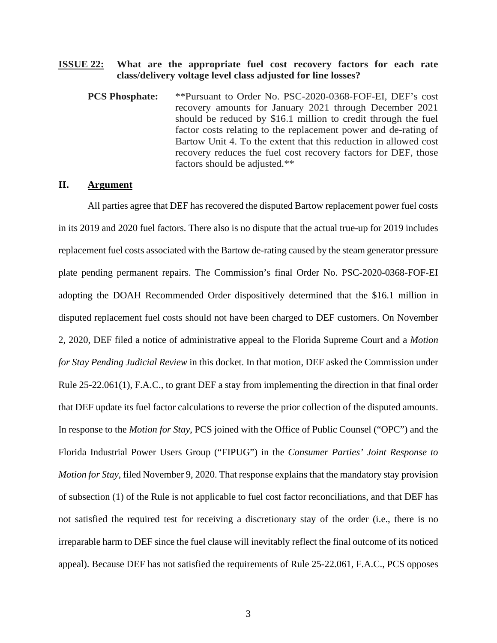#### **ISSUE 22: What are the appropriate fuel cost recovery factors for each rate class/delivery voltage level class adjusted for line losses?**

**PCS Phosphate:** \*\*Pursuant to Order No. PSC-2020-0368-FOF-EI, DEF's cost recovery amounts for January 2021 through December 2021 should be reduced by \$16.1 million to credit through the fuel factor costs relating to the replacement power and de-rating of Bartow Unit 4. To the extent that this reduction in allowed cost recovery reduces the fuel cost recovery factors for DEF, those factors should be adjusted.\*\*

## **II. Argument**

All parties agree that DEF has recovered the disputed Bartow replacement power fuel costs in its 2019 and 2020 fuel factors. There also is no dispute that the actual true-up for 2019 includes replacement fuel costs associated with the Bartow de-rating caused by the steam generator pressure plate pending permanent repairs. The Commission's final Order No. PSC-2020-0368-FOF-EI adopting the DOAH Recommended Order dispositively determined that the \$16.1 million in disputed replacement fuel costs should not have been charged to DEF customers. On November 2, 2020, DEF filed a notice of administrative appeal to the Florida Supreme Court and a *Motion for Stay Pending Judicial Review* in this docket. In that motion, DEF asked the Commission under Rule 25-22.061(1), F.A.C., to grant DEF a stay from implementing the direction in that final order that DEF update its fuel factor calculations to reverse the prior collection of the disputed amounts. In response to the *Motion for Stay*, PCS joined with the Office of Public Counsel ("OPC") and the Florida Industrial Power Users Group ("FIPUG") in the *Consumer Parties' Joint Response to Motion for Stay*, filed November 9, 2020. That response explains that the mandatory stay provision of subsection (1) of the Rule is not applicable to fuel cost factor reconciliations, and that DEF has not satisfied the required test for receiving a discretionary stay of the order (i.e., there is no irreparable harm to DEF since the fuel clause will inevitably reflect the final outcome of its noticed appeal). Because DEF has not satisfied the requirements of Rule 25-22.061, F.A.C., PCS opposes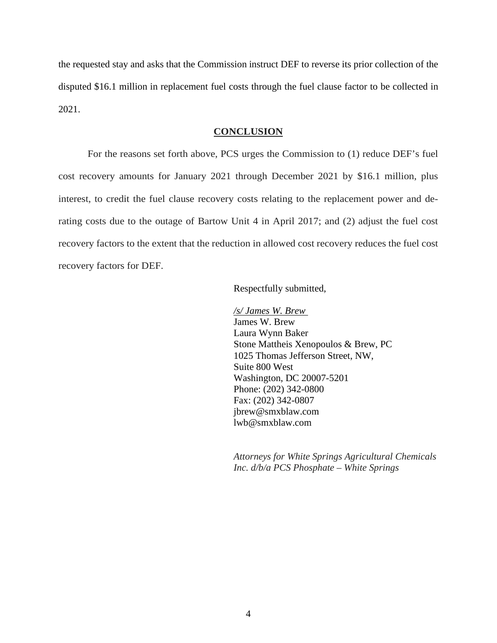the requested stay and asks that the Commission instruct DEF to reverse its prior collection of the disputed \$16.1 million in replacement fuel costs through the fuel clause factor to be collected in 2021.

#### **CONCLUSION**

For the reasons set forth above, PCS urges the Commission to (1) reduce DEF's fuel cost recovery amounts for January 2021 through December 2021 by \$16.1 million, plus interest, to credit the fuel clause recovery costs relating to the replacement power and derating costs due to the outage of Bartow Unit 4 in April 2017; and (2) adjust the fuel cost recovery factors to the extent that the reduction in allowed cost recovery reduces the fuel cost recovery factors for DEF.

Respectfully submitted,

*/s/ James W. Brew* James W. Brew Laura Wynn Baker Stone Mattheis Xenopoulos & Brew, PC 1025 Thomas Jefferson Street, NW, Suite 800 West Washington, DC 20007-5201 Phone: (202) 342-0800 Fax: (202) 342-0807 jbrew@smxblaw.com lwb@smxblaw.com

*Attorneys for White Springs Agricultural Chemicals Inc. d/b/a PCS Phosphate – White Springs*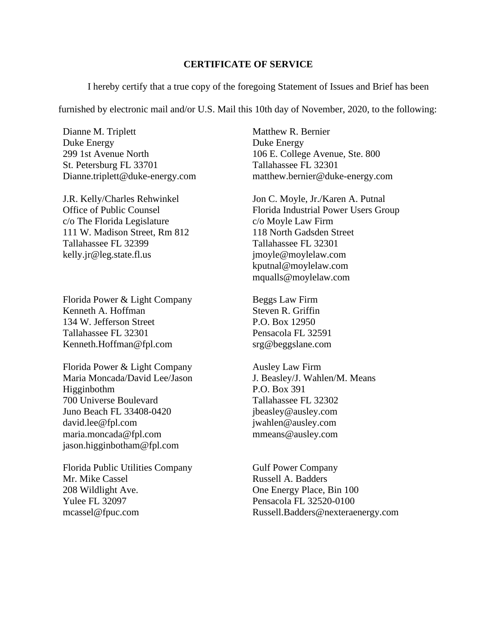#### **CERTIFICATE OF SERVICE**

I hereby certify that a true copy of the foregoing Statement of Issues and Brief has been

furnished by electronic mail and/or U.S. Mail this 10th day of November, 2020, to the following:

Dianne M. Triplett Duke Energy 299 1st Avenue North St. Petersburg FL 33701 Dianne.triplett@duke-energy.com

J.R. Kelly/Charles Rehwinkel Office of Public Counsel c/o The Florida Legislature 111 W. Madison Street, Rm 812 Tallahassee FL 32399 kelly.jr@leg.state.fl.us

Florida Power & Light Company Kenneth A. Hoffman 134 W. Jefferson Street Tallahassee FL 32301 Kenneth.Hoffman@fpl.com

Florida Power & Light Company Maria Moncada/David Lee/Jason Higginbothm 700 Universe Boulevard Juno Beach FL 33408-0420 david.lee@fpl.com maria.moncada@fpl.com jason.higginbotham@fpl.com

Florida Public Utilities Company Mr. Mike Cassel 208 Wildlight Ave. Yulee FL 32097 mcassel@fpuc.com

Matthew R. Bernier Duke Energy 106 E. College Avenue, Ste. 800 Tallahassee FL 32301 matthew.bernier@duke-energy.com

Jon C. Moyle, Jr./Karen A. Putnal Florida Industrial Power Users Group c/o Moyle Law Firm 118 North Gadsden Street Tallahassee FL 32301 jmoyle@moylelaw.com kputnal@moylelaw.com mqualls@moylelaw.com

Beggs Law Firm Steven R. Griffin P.O. Box 12950 Pensacola FL 32591 srg@beggslane.com

Ausley Law Firm J. Beasley/J. Wahlen/M. Means P.O. Box 391 Tallahassee FL 32302 jbeasley@ausley.com jwahlen@ausley.com mmeans@ausley.com

Gulf Power Company Russell A. Badders One Energy Place, Bin 100 Pensacola FL 32520-0100 Russell.Badders@nexteraenergy.com